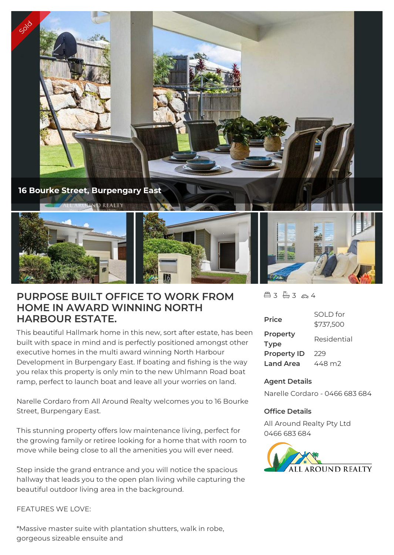

## **PURPOSE BUILT OFFICE TO WORK FROM HOME IN AWARD WINNING NORTH HARBOUR ESTATE.**

This beautiful Hallmark home in this new, sort after estate, has been built with space in mind and is perfectly positioned amongst other executive homes in the multi award winning North Harbour Development in Burpengary East. If boating and fishing is the way you relax this property is only min to the new Uhlmann Road boat ramp, perfect to launch boat and leave all your worries on land.

Narelle Cordaro from All Around Realty welcomes you to 16 Bourke Street, Burpengary East.

This stunning property offers low maintenance living, perfect for the growing family or retiree looking for a home that with room to move while being close to all the amenities you will ever need.

Step inside the grand entrance and you will notice the spacious hallway that leads you to the open plan living while capturing the beautiful outdoor living area in the background.

## FFATURES WE LOVE:

\*Massive master suite with plantation shutters, walk in robe, gorgeous sizeable ensuite and

 $43 - 3 - 4$ 

| <b>Price</b>            | SOI D for<br>\$737,500 |
|-------------------------|------------------------|
| Property<br><b>Type</b> | Residential            |
| <b>Property ID</b>      | 229                    |
| <b>Land Area</b>        | 448 m2                 |

## **Agent Details**

Narelle Cordaro - 0466 683 684

## **Office Details**

All Around Realty Pty Ltd 0466 683 684